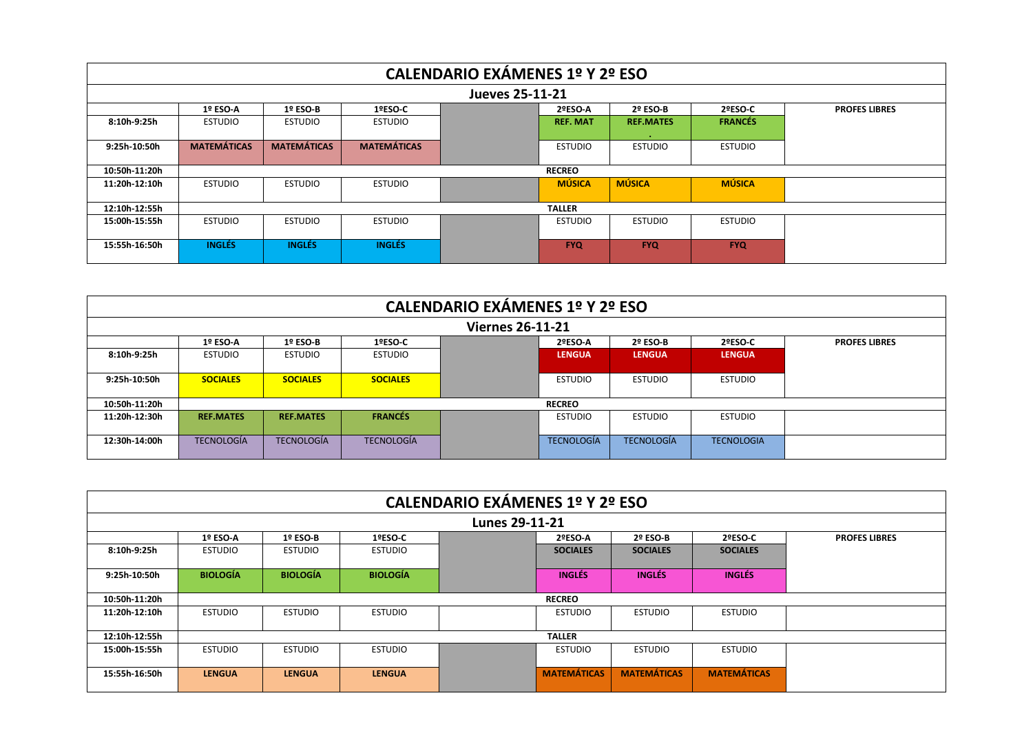| CALENDARIO EXÁMENES 1º Y 2º ESO |                    |                    |                    |  |                 |                   |                |                      |  |  |  |
|---------------------------------|--------------------|--------------------|--------------------|--|-----------------|-------------------|----------------|----------------------|--|--|--|
| Jueves 25-11-21                 |                    |                    |                    |  |                 |                   |                |                      |  |  |  |
|                                 | $1°$ ESO-A         | $1°$ ESO-B         | 1ºESO-C            |  | 2ºESO-A         | $2^{\circ}$ ESO-B | 2ºESO-C        | <b>PROFES LIBRES</b> |  |  |  |
| 8:10h-9:25h                     | <b>ESTUDIO</b>     | <b>ESTUDIO</b>     | <b>ESTUDIO</b>     |  | <b>REF. MAT</b> | <b>REF.MATES</b>  | <b>FRANCÉS</b> |                      |  |  |  |
|                                 |                    |                    |                    |  |                 |                   |                |                      |  |  |  |
| 9:25h-10:50h                    | <b>MATEMÁTICAS</b> | <b>MATEMÁTICAS</b> | <b>MATEMÁTICAS</b> |  | <b>ESTUDIO</b>  | <b>ESTUDIO</b>    | <b>ESTUDIO</b> |                      |  |  |  |
|                                 |                    |                    |                    |  |                 |                   |                |                      |  |  |  |
| 10:50h-11:20h                   |                    |                    |                    |  | <b>RECREO</b>   |                   |                |                      |  |  |  |
| 11:20h-12:10h                   | <b>ESTUDIO</b>     | <b>ESTUDIO</b>     | <b>ESTUDIO</b>     |  | <b>MÚSICA</b>   | <b>MÚSICA</b>     | <b>MÚSICA</b>  |                      |  |  |  |
|                                 |                    |                    |                    |  |                 |                   |                |                      |  |  |  |
| 12:10h-12:55h                   |                    |                    |                    |  | <b>TALLER</b>   |                   |                |                      |  |  |  |
| 15:00h 15:55h                   | <b>ESTUDIO</b>     | <b>ESTUDIO</b>     | <b>ESTUDIO</b>     |  | <b>ESTUDIO</b>  | <b>ESTUDIO</b>    | <b>ESTUDIO</b> |                      |  |  |  |
|                                 |                    |                    |                    |  |                 |                   |                |                      |  |  |  |
| 15:55h-16:50h                   | <b>INGLÉS</b>      | <b>INGLÉS</b>      | <b>INGLÉS</b>      |  | <b>FYQ</b>      | <b>FYQ</b>        | <b>FYQ</b>     |                      |  |  |  |
|                                 |                    |                    |                    |  |                 |                   |                |                      |  |  |  |

| CALENDARIO EXÁMENES 1º Y 2º ESO |                   |                   |                   |  |                   |                   |                   |                      |  |  |
|---------------------------------|-------------------|-------------------|-------------------|--|-------------------|-------------------|-------------------|----------------------|--|--|
| <b>Viernes 26-11-21</b>         |                   |                   |                   |  |                   |                   |                   |                      |  |  |
|                                 | 1º ESO-A          | $1°$ ESO-B        | 1ºESO-C           |  | 2ºESO-A           | 2º ESO-B          | 2ºESO-C           | <b>PROFES LIBRES</b> |  |  |
| 8:10h-9:25h                     | <b>ESTUDIO</b>    | <b>ESTUDIO</b>    | <b>ESTUDIO</b>    |  | <b>LENGUA</b>     | <b>LENGUA</b>     | <b>LENGUA</b>     |                      |  |  |
| 9:25h-10:50h                    | <b>SOCIALES</b>   | <b>SOCIALES</b>   | <b>SOCIALES</b>   |  | <b>ESTUDIO</b>    | <b>ESTUDIO</b>    | <b>ESTUDIO</b>    |                      |  |  |
| 10:50h-11:20h                   |                   |                   |                   |  | <b>RECREO</b>     |                   |                   |                      |  |  |
| 11:20h-12:30h                   | <b>REF.MATES</b>  | <b>REF.MATES</b>  | <b>FRANCÉS</b>    |  | <b>ESTUDIO</b>    | <b>ESTUDIO</b>    | <b>ESTUDIO</b>    |                      |  |  |
| 12:30h-14:00h                   | <b>TECNOLOGÍA</b> | <b>TECNOLOGÍA</b> | <b>TECNOLOGÍA</b> |  | <b>TECNOLOGÍA</b> | <b>TECNOLOGÍA</b> | <b>TECNOLOGIA</b> |                      |  |  |

| CALENDARIO EXÁMENES 1º Y 2º ESO |                 |                 |                 |  |                    |                    |                    |                      |  |  |  |
|---------------------------------|-----------------|-----------------|-----------------|--|--------------------|--------------------|--------------------|----------------------|--|--|--|
| Lunes 29-11-21                  |                 |                 |                 |  |                    |                    |                    |                      |  |  |  |
|                                 | $1°$ ESO-A      | $1°$ ESO-B      | 1ºESO-C         |  | 2ºESO-A            | 2º ESO-B           | 2ºESO-C            | <b>PROFES LIBRES</b> |  |  |  |
| 8:10h-9:25h                     | <b>ESTUDIO</b>  | <b>ESTUDIO</b>  | <b>ESTUDIO</b>  |  | <b>SOCIALES</b>    | <b>SOCIALES</b>    | <b>SOCIALES</b>    |                      |  |  |  |
| 9:25h-10:50h                    | <b>BIOLOGÍA</b> | <b>BIOLOGÍA</b> | <b>BIOLOGÍA</b> |  | <b>INGLÉS</b>      | <b>INGLÉS</b>      | <b>INGLÉS</b>      |                      |  |  |  |
| 10:50h-11:20h                   |                 |                 |                 |  | <b>RECREO</b>      |                    |                    |                      |  |  |  |
| 11:20h-12:10h                   | <b>ESTUDIO</b>  | <b>ESTUDIO</b>  | <b>ESTUDIO</b>  |  | <b>ESTUDIO</b>     | <b>ESTUDIO</b>     | <b>ESTUDIO</b>     |                      |  |  |  |
| 12:10h-12:55h                   |                 |                 |                 |  | <b>TALLER</b>      |                    |                    |                      |  |  |  |
| 15:00h 15:55h                   | <b>ESTUDIO</b>  | <b>ESTUDIO</b>  | <b>ESTUDIO</b>  |  | <b>ESTUDIO</b>     | <b>ESTUDIO</b>     | <b>ESTUDIO</b>     |                      |  |  |  |
| 15:55h-16:50h                   | <b>LENGUA</b>   | <b>LENGUA</b>   | <b>LENGUA</b>   |  | <b>MATEMÁTICAS</b> | <b>MATEMÁTICAS</b> | <b>MATEMÁTICAS</b> |                      |  |  |  |